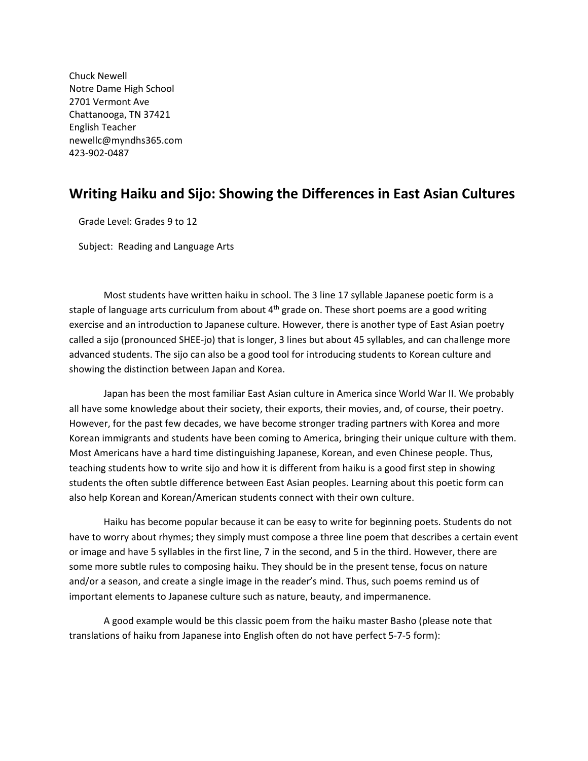Chuck Newell Notre Dame High School 2701 Vermont Ave Chattanooga, TN 37421 English Teacher newellc@myndhs365.com 423‐902‐0487

# **Writing Haiku and Sijo: Showing the Differences in East Asian Cultures**

Grade Level: Grades 9 to 12

Subject: Reading and Language Arts

Most students have written haiku in school. The 3 line 17 syllable Japanese poetic form is a staple of language arts curriculum from about  $4<sup>th</sup>$  grade on. These short poems are a good writing exercise and an introduction to Japanese culture. However, there is another type of East Asian poetry called a sijo (pronounced SHEE‐jo) that is longer, 3 lines but about 45 syllables, and can challenge more advanced students. The sijo can also be a good tool for introducing students to Korean culture and showing the distinction between Japan and Korea.

Japan has been the most familiar East Asian culture in America since World War II. We probably all have some knowledge about their society, their exports, their movies, and, of course, their poetry. However, for the past few decades, we have become stronger trading partners with Korea and more Korean immigrants and students have been coming to America, bringing their unique culture with them. Most Americans have a hard time distinguishing Japanese, Korean, and even Chinese people. Thus, teaching students how to write sijo and how it is different from haiku is a good first step in showing students the often subtle difference between East Asian peoples. Learning about this poetic form can also help Korean and Korean/American students connect with their own culture.

Haiku has become popular because it can be easy to write for beginning poets. Students do not have to worry about rhymes; they simply must compose a three line poem that describes a certain event or image and have 5 syllables in the first line, 7 in the second, and 5 in the third. However, there are some more subtle rules to composing haiku. They should be in the present tense, focus on nature and/or a season, and create a single image in the reader's mind. Thus, such poems remind us of important elements to Japanese culture such as nature, beauty, and impermanence.

A good example would be this classic poem from the haiku master Basho (please note that translations of haiku from Japanese into English often do not have perfect 5‐7‐5 form):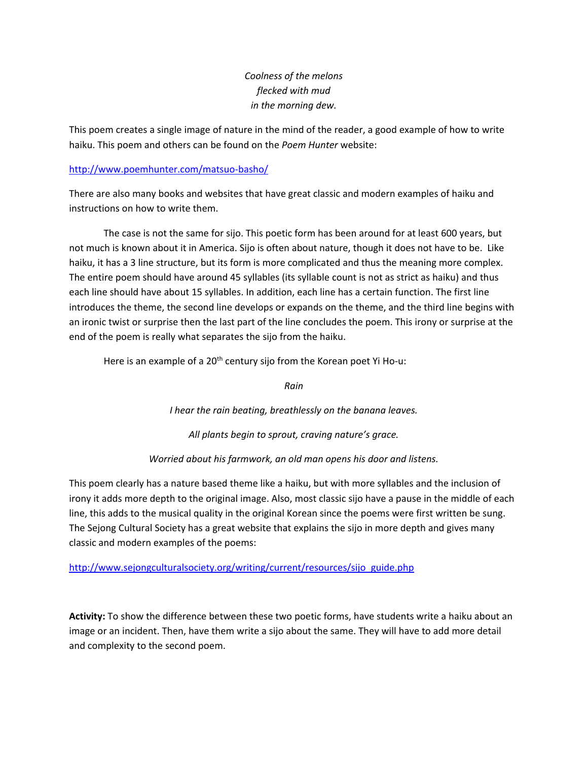## *Coolness of the melons flecked with mud in the morning dew.*

This poem creates a single image of nature in the mind of the reader, a good example of how to write haiku. This poem and others can be found on the *Poem Hunter* website:

#### http://www.poemhunter.com/matsuo‐basho/

There are also many books and websites that have great classic and modern examples of haiku and instructions on how to write them.

The case is not the same for sijo. This poetic form has been around for at least 600 years, but not much is known about it in America. Sijo is often about nature, though it does not have to be. Like haiku, it has a 3 line structure, but its form is more complicated and thus the meaning more complex. The entire poem should have around 45 syllables (its syllable count is not as strict as haiku) and thus each line should have about 15 syllables. In addition, each line has a certain function. The first line introduces the theme, the second line develops or expands on the theme, and the third line begins with an ironic twist or surprise then the last part of the line concludes the poem. This irony or surprise at the end of the poem is really what separates the sijo from the haiku.

Here is an example of a  $20<sup>th</sup>$  century sijo from the Korean poet Yi Ho-u:

*Rain*

*I hear the rain beating, breathlessly on the banana leaves.*

*All plants begin to sprout, craving nature's grace.*

*Worried about his farmwork, an old man opens his door and listens.*

This poem clearly has a nature based theme like a haiku, but with more syllables and the inclusion of irony it adds more depth to the original image. Also, most classic sijo have a pause in the middle of each line, this adds to the musical quality in the original Korean since the poems were first written be sung. The Sejong Cultural Society has a great website that explains the sijo in more depth and gives many classic and modern examples of the poems:

http://www.sejongculturalsociety.org/writing/current/resources/sijo\_guide.php

**Activity:** To show the difference between these two poetic forms, have students write a haiku about an image or an incident. Then, have them write a sijo about the same. They will have to add more detail and complexity to the second poem.